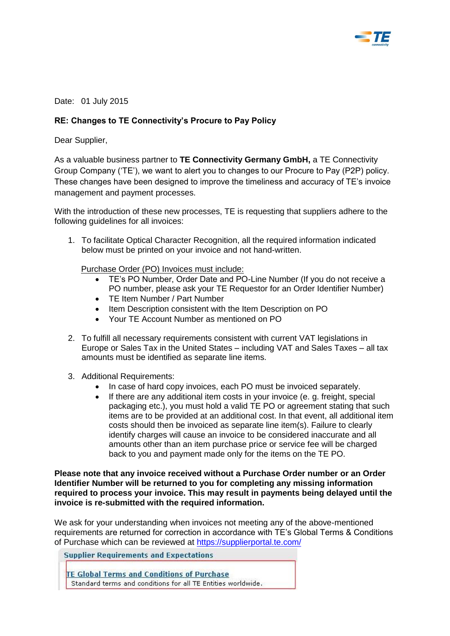

Date: 01 July 2015

## **RE: Changes to TE Connectivity's Procure to Pay Policy**

Dear Supplier,

As a valuable business partner to **TE Connectivity Germany GmbH,** a TE Connectivity Group Company ('TE'), we want to alert you to changes to our Procure to Pay (P2P) policy. These changes have been designed to improve the timeliness and accuracy of TE's invoice management and payment processes.

With the introduction of these new processes, TE is requesting that suppliers adhere to the following guidelines for all invoices:

1. To facilitate Optical Character Recognition, all the required information indicated below must be printed on your invoice and not hand-written.

Purchase Order (PO) Invoices must include:

- TE's PO Number, Order Date and PO-Line Number (If you do not receive a PO number, please ask your TE Requestor for an Order Identifier Number)
- TE Item Number / Part Number
- Item Description consistent with the Item Description on PO
- Your TE Account Number as mentioned on PO
- 2. To fulfill all necessary requirements consistent with current VAT legislations in Europe or Sales Tax in the United States – including VAT and Sales Taxes – all tax amounts must be identified as separate line items.
- 3. Additional Requirements:
	- In case of hard copy invoices, each PO must be invoiced separately.
	- If there are any additional item costs in your invoice (e. g. freight, special packaging etc.), you must hold a valid TE PO or agreement stating that such items are to be provided at an additional cost. In that event, all additional item costs should then be invoiced as separate line item(s). Failure to clearly identify charges will cause an invoice to be considered inaccurate and all amounts other than an item purchase price or service fee will be charged back to you and payment made only for the items on the TE PO.

**Please note that any invoice received without a Purchase Order number or an Order Identifier Number will be returned to you for completing any missing information required to process your invoice. This may result in payments being delayed until the invoice is re-submitted with the required information.** 

We ask for your understanding when invoices not meeting any of the above-mentioned requirements are returned for correction in accordance with TE's Global Terms & Conditions of Purchase which can be reviewed at<https://supplierportal.te.com/>

**Supplier Requirements and Expectations** 

**TE Global Terms and Conditions of Purchase** Standard terms and conditions for all TE Entities worldwide.